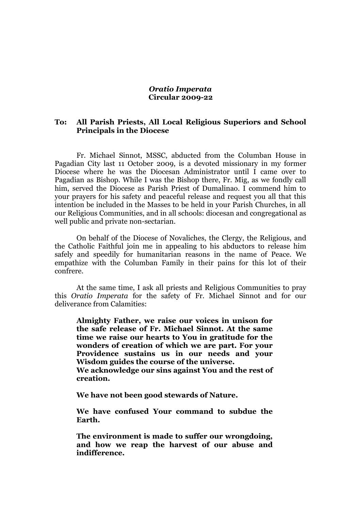## *Oratio Imperata* **Circular 2009-22**

## **To: All Parish Priests, All Local Religious Superiors and School Principals in the Diocese**

Fr. Michael Sinnot, MSSC, abducted from the Columban House in Pagadian City last 11 October 2009, is a devoted missionary in my former Diocese where he was the Diocesan Administrator until I came over to Pagadian as Bishop. While I was the Bishop there, Fr. Mig, as we fondly call him, served the Diocese as Parish Priest of Dumalinao. I commend him to your prayers for his safety and peaceful release and request you all that this intention be included in the Masses to be held in your Parish Churches, in all our Religious Communities, and in all schools: diocesan and congregational as well public and private non-sectarian.

On behalf of the Diocese of Novaliches, the Clergy, the Religious, and the Catholic Faithful join me in appealing to his abductors to release him safely and speedily for humanitarian reasons in the name of Peace. We empathize with the Columban Family in their pains for this lot of their confrere.

At the same time, I ask all priests and Religious Communities to pray this *Oratio Imperata* for the safety of Fr. Michael Sinnot and for our deliverance from Calamities:

**Almighty Father, we raise our voices in unison for the safe release of Fr. Michael Sinnot. At the same time we raise our hearts to You in gratitude for the wonders of creation of which we are part. For your Providence sustains us in our needs and your Wisdom guides the course of the universe.**

**We acknowledge our sins against You and the rest of creation.**

**We have not been good stewards of Nature.**

**We have confused Your command to subdue the Earth.**

**The environment is made to suffer our wrongdoing, and how we reap the harvest of our abuse and indifference.**